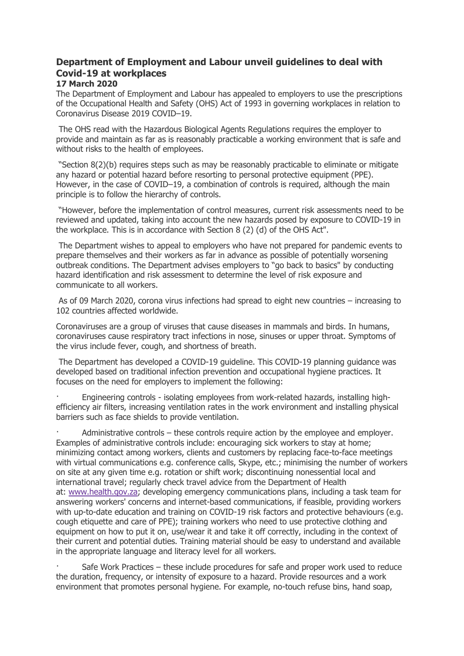## **Department of Employment and Labour unveil guidelines to deal with Covid-19 at workplaces**

## **17 March 2020**

The Department of Employment and Labour has appealed to employers to use the prescriptions of the Occupational Health and Safety (OHS) Act of 1993 in governing workplaces in relation to Coronavirus Disease 2019 COVID–19.

The OHS read with the Hazardous Biological Agents Regulations requires the employer to provide and maintain as far as is reasonably practicable a working environment that is safe and without risks to the health of employees.

"Section 8(2)(b) requires steps such as may be reasonably practicable to eliminate or mitigate any hazard or potential hazard before resorting to personal protective equipment (PPE). However, in the case of COVID–19, a combination of controls is required, although the main principle is to follow the hierarchy of controls.

"However, before the implementation of control measures, current risk assessments need to be reviewed and updated, taking into account the new hazards posed by exposure to COVID-19 in the workplace. This is in accordance with Section 8 (2) (d) of the OHS Act".

The Department wishes to appeal to employers who have not prepared for pandemic events to prepare themselves and their workers as far in advance as possible of potentially worsening outbreak conditions. The Department advises employers to "go back to basics" by conducting hazard identification and risk assessment to determine the level of risk exposure and communicate to all workers.

As of 09 March 2020, corona virus infections had spread to eight new countries – increasing to 102 countries affected worldwide.

Coronaviruses are a group of viruses that cause diseases in mammals and birds. In humans, coronaviruses cause respiratory tract infections in nose, sinuses or upper throat. Symptoms of the virus include fever, cough, and shortness of breath.

The Department has developed a COVID-19 guideline. This COVID-19 planning guidance was developed based on traditional infection prevention and occupational hygiene practices. It focuses on the need for employers to implement the following:

· Engineering controls - isolating employees from work-related hazards, installing highefficiency air filters, increasing ventilation rates in the work environment and installing physical barriers such as face shields to provide ventilation.

Administrative controls – these controls require action by the employee and employer. Examples of administrative controls include: encouraging sick workers to stay at home; minimizing contact among workers, clients and customers by replacing face-to-face meetings with virtual communications e.g. conference calls, Skype, etc.; minimising the number of workers on site at any given time e.g. rotation or shift work; discontinuing nonessential local and international travel; regularly check travel advice from the Department of Health at: [www.health.gov.za;](http://www.health.gov.za/) developing emergency communications plans, including a task team for answering workers' concerns and internet-based communications, if feasible, providing workers with up-to-date education and training on COVID-19 risk factors and protective behaviours (e.g. cough etiquette and care of PPE); training workers who need to use protective clothing and equipment on how to put it on, use/wear it and take it off correctly, including in the context of their current and potential duties. Training material should be easy to understand and available in the appropriate language and literacy level for all workers.

Safe Work Practices – these include procedures for safe and proper work used to reduce the duration, frequency, or intensity of exposure to a hazard. Provide resources and a work environment that promotes personal hygiene. For example, no-touch refuse bins, hand soap,